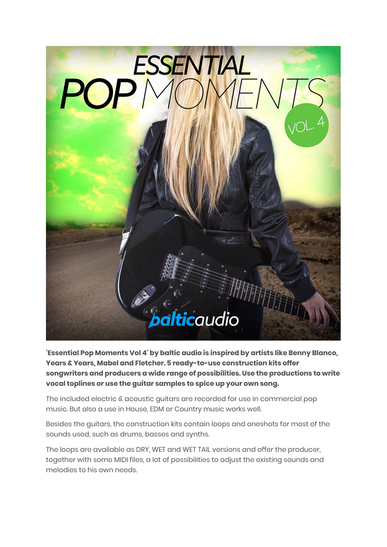

**'Essential Pop Moments Vol 4' by baltic audio is inspired by artists like Benny Blanco, Years & Years, Mabel and Fletcher. 5 ready-to-use construction kits offer songwriters and producers a wide range of possibilities. Use the productions to write vocal toplines or use the guitar samples to spice up your own song.**

The included electric & acoustic guitars are recorded for use in commercial pop music. But also a use in House, EDM or Country music works well.

Besides the guitars, the construction kits contain loops and oneshots for most of the sounds used, such as drums, basses and synths.

The loops are available as DRY, WET and WET TAIL versions and offer the producer, together with some MIDI files, a lot of possibilities to adjust the existing sounds and melodies to his own needs.